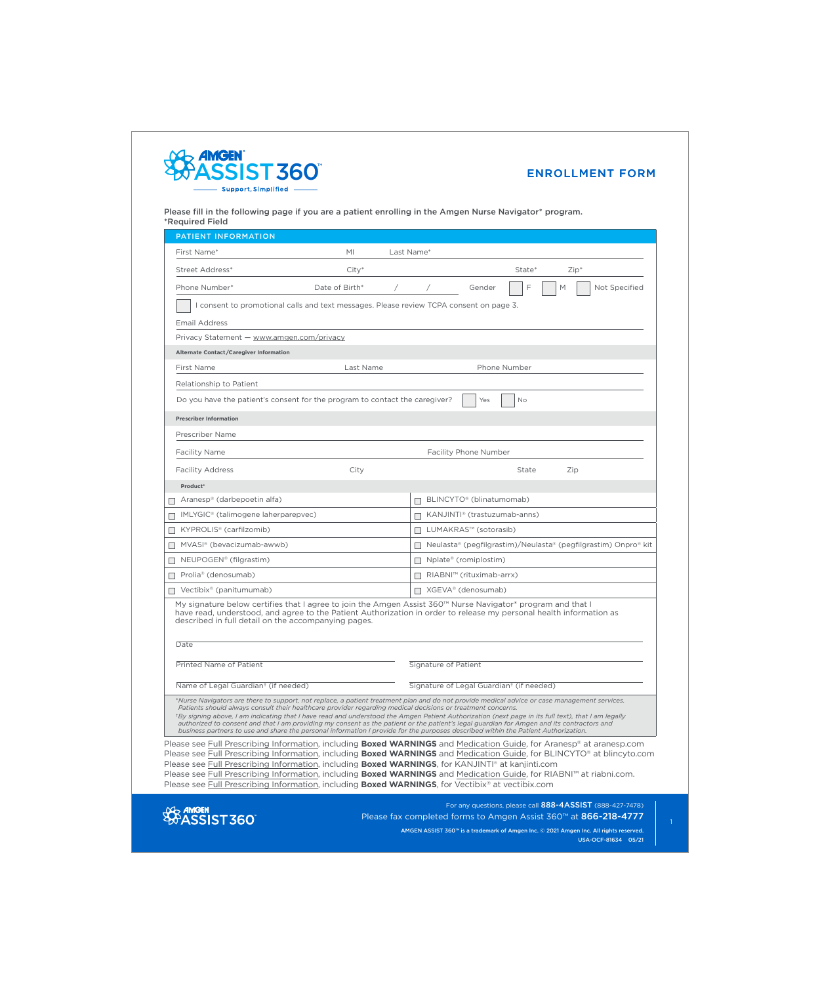

Please fill in the following page if you are a patient enrolling in the Amgen Nurse Navigator\* program. \*Required Field

| <b>PATIENT INFORMATION</b>                                                                                                                                                                                                                                                                                                                                                                                                                                                                                                                                                                                                                                                                           |                                                 |                    |                                                                                                                                                                                                                                                                                                                                                                                         |  |
|------------------------------------------------------------------------------------------------------------------------------------------------------------------------------------------------------------------------------------------------------------------------------------------------------------------------------------------------------------------------------------------------------------------------------------------------------------------------------------------------------------------------------------------------------------------------------------------------------------------------------------------------------------------------------------------------------|-------------------------------------------------|--------------------|-----------------------------------------------------------------------------------------------------------------------------------------------------------------------------------------------------------------------------------------------------------------------------------------------------------------------------------------------------------------------------------------|--|
| First Name*                                                                                                                                                                                                                                                                                                                                                                                                                                                                                                                                                                                                                                                                                          | MI                                              | Last Name*         |                                                                                                                                                                                                                                                                                                                                                                                         |  |
| Street Address*                                                                                                                                                                                                                                                                                                                                                                                                                                                                                                                                                                                                                                                                                      | $City*$                                         |                    | State*<br>$Zip*$                                                                                                                                                                                                                                                                                                                                                                        |  |
| Phone Number*                                                                                                                                                                                                                                                                                                                                                                                                                                                                                                                                                                                                                                                                                        | Date of Birth*                                  |                    | F<br>M<br>Not Specified<br>Gender                                                                                                                                                                                                                                                                                                                                                       |  |
| I consent to promotional calls and text messages. Please review TCPA consent on page 3.                                                                                                                                                                                                                                                                                                                                                                                                                                                                                                                                                                                                              |                                                 |                    |                                                                                                                                                                                                                                                                                                                                                                                         |  |
| <b>Email Address</b>                                                                                                                                                                                                                                                                                                                                                                                                                                                                                                                                                                                                                                                                                 |                                                 |                    |                                                                                                                                                                                                                                                                                                                                                                                         |  |
| Privacy Statement — www.amgen.com/privacy                                                                                                                                                                                                                                                                                                                                                                                                                                                                                                                                                                                                                                                            |                                                 |                    |                                                                                                                                                                                                                                                                                                                                                                                         |  |
| Alternate Contact/Caregiver Information                                                                                                                                                                                                                                                                                                                                                                                                                                                                                                                                                                                                                                                              |                                                 |                    |                                                                                                                                                                                                                                                                                                                                                                                         |  |
| First Name                                                                                                                                                                                                                                                                                                                                                                                                                                                                                                                                                                                                                                                                                           | Last Name<br>Phone Number                       |                    |                                                                                                                                                                                                                                                                                                                                                                                         |  |
| Relationship to Patient                                                                                                                                                                                                                                                                                                                                                                                                                                                                                                                                                                                                                                                                              |                                                 |                    |                                                                                                                                                                                                                                                                                                                                                                                         |  |
| Do you have the patient's consent for the program to contact the caregiver?<br>Yes<br><b>No</b>                                                                                                                                                                                                                                                                                                                                                                                                                                                                                                                                                                                                      |                                                 |                    |                                                                                                                                                                                                                                                                                                                                                                                         |  |
| <b>Prescriber Information</b>                                                                                                                                                                                                                                                                                                                                                                                                                                                                                                                                                                                                                                                                        |                                                 |                    |                                                                                                                                                                                                                                                                                                                                                                                         |  |
| <b>Prescriber Name</b>                                                                                                                                                                                                                                                                                                                                                                                                                                                                                                                                                                                                                                                                               |                                                 |                    |                                                                                                                                                                                                                                                                                                                                                                                         |  |
| <b>Facility Name</b>                                                                                                                                                                                                                                                                                                                                                                                                                                                                                                                                                                                                                                                                                 | <b>Facility Phone Number</b>                    |                    |                                                                                                                                                                                                                                                                                                                                                                                         |  |
| <b>Facility Address</b>                                                                                                                                                                                                                                                                                                                                                                                                                                                                                                                                                                                                                                                                              | City                                            |                    | State<br>Zip                                                                                                                                                                                                                                                                                                                                                                            |  |
| Product*                                                                                                                                                                                                                                                                                                                                                                                                                                                                                                                                                                                                                                                                                             |                                                 |                    |                                                                                                                                                                                                                                                                                                                                                                                         |  |
| Aranesp® (darbepoetin alfa)                                                                                                                                                                                                                                                                                                                                                                                                                                                                                                                                                                                                                                                                          |                                                 |                    | BLINCYTO <sup>®</sup> (blinatumomab)                                                                                                                                                                                                                                                                                                                                                    |  |
| IMLYGIC <sup>®</sup> (talimogene laherparepvec)                                                                                                                                                                                                                                                                                                                                                                                                                                                                                                                                                                                                                                                      |                                                 | $\Box$             | KANJINTI® (trastuzumab-anns)                                                                                                                                                                                                                                                                                                                                                            |  |
| KYPROLIS <sup>®</sup> (carfilzomib)                                                                                                                                                                                                                                                                                                                                                                                                                                                                                                                                                                                                                                                                  |                                                 | <b>The Company</b> | LUMAKRAS™ (sotorasib)                                                                                                                                                                                                                                                                                                                                                                   |  |
| MVASI® (bevacizumab-awwb)                                                                                                                                                                                                                                                                                                                                                                                                                                                                                                                                                                                                                                                                            |                                                 |                    | □ Neulasta® (pegfilgrastim)/Neulasta® (pegfilgrastim) Onpro® kit                                                                                                                                                                                                                                                                                                                        |  |
| NEUPOGEN <sup>®</sup> (filgrastim)                                                                                                                                                                                                                                                                                                                                                                                                                                                                                                                                                                                                                                                                   |                                                 | $\mathbb{R}^n$     | Nplate® (romiplostim)                                                                                                                                                                                                                                                                                                                                                                   |  |
| Prolia <sup>®</sup> (denosumab)<br>$\mathbf{I}$                                                                                                                                                                                                                                                                                                                                                                                                                                                                                                                                                                                                                                                      |                                                 | $\Box$             | RIABNI™ (rituximab-arrx)                                                                                                                                                                                                                                                                                                                                                                |  |
| $\Box$ Vectibix <sup>®</sup> (panitumumab)                                                                                                                                                                                                                                                                                                                                                                                                                                                                                                                                                                                                                                                           |                                                 |                    | $\Box$ XGEVA <sup>®</sup> (denosumab)                                                                                                                                                                                                                                                                                                                                                   |  |
| My signature below certifies that I agree to join the Amgen Assist 360™ Nurse Navigator* program and that I<br>have read, understood, and agree to the Patient Authorization in order to release my personal health information as<br>described in full detail on the accompanying pages.                                                                                                                                                                                                                                                                                                                                                                                                            |                                                 |                    |                                                                                                                                                                                                                                                                                                                                                                                         |  |
| Date                                                                                                                                                                                                                                                                                                                                                                                                                                                                                                                                                                                                                                                                                                 |                                                 |                    |                                                                                                                                                                                                                                                                                                                                                                                         |  |
| Printed Name of Patient                                                                                                                                                                                                                                                                                                                                                                                                                                                                                                                                                                                                                                                                              |                                                 |                    | Signature of Patient                                                                                                                                                                                                                                                                                                                                                                    |  |
|                                                                                                                                                                                                                                                                                                                                                                                                                                                                                                                                                                                                                                                                                                      | Name of Legal Guardian <sup>†</sup> (if needed) |                    | Signature of Legal Guardian <sup>+</sup> (if needed)                                                                                                                                                                                                                                                                                                                                    |  |
| *Nurse Navigators are there to support, not replace, a patient treatment plan and do not provide medical advice or case management services.<br>Patients should always consult their healthcare provider regarding medical decisions or treatment concerns.<br>*By signing above, I am indicating that I have read and understood the Amgen Patient Authorization (next page in its full text), that I am legally<br>authorized to consent and that I am providing my consent as the patient or the patient's legal guardian for Amgen and its contractors and<br>business partners to use and share the personal information I provide for the purposes described within the Patient Authorization. |                                                 |                    |                                                                                                                                                                                                                                                                                                                                                                                         |  |
| Please see Full Prescribing Information, including <b>Boxed WARNINGS</b> , for KANJINTI® at kanjinti.com<br>Please see Full Prescribing Information, including <b>Boxed WARNINGS</b> , for Vectibix® at vectibix.com                                                                                                                                                                                                                                                                                                                                                                                                                                                                                 |                                                 |                    | Please see Full Prescribing Information, including <b>Boxed WARNINGS</b> and Medication Guide, for Aranesp® at aranesp.com<br>Please see Full Prescribing Information, including <b>Boxed WARNINGS</b> and Medication Guide, for BLINCYTO® at blincyto.com<br>Please see Full Prescribing Information, including <b>Boxed WARNINGS</b> and Medication Guide, for RIABNI™ at riabni.com. |  |



For any questions, please call 888-4ASSIST (888-427-7478) Please fax completed forms to Amgen Assist 360™ at 866-218-4777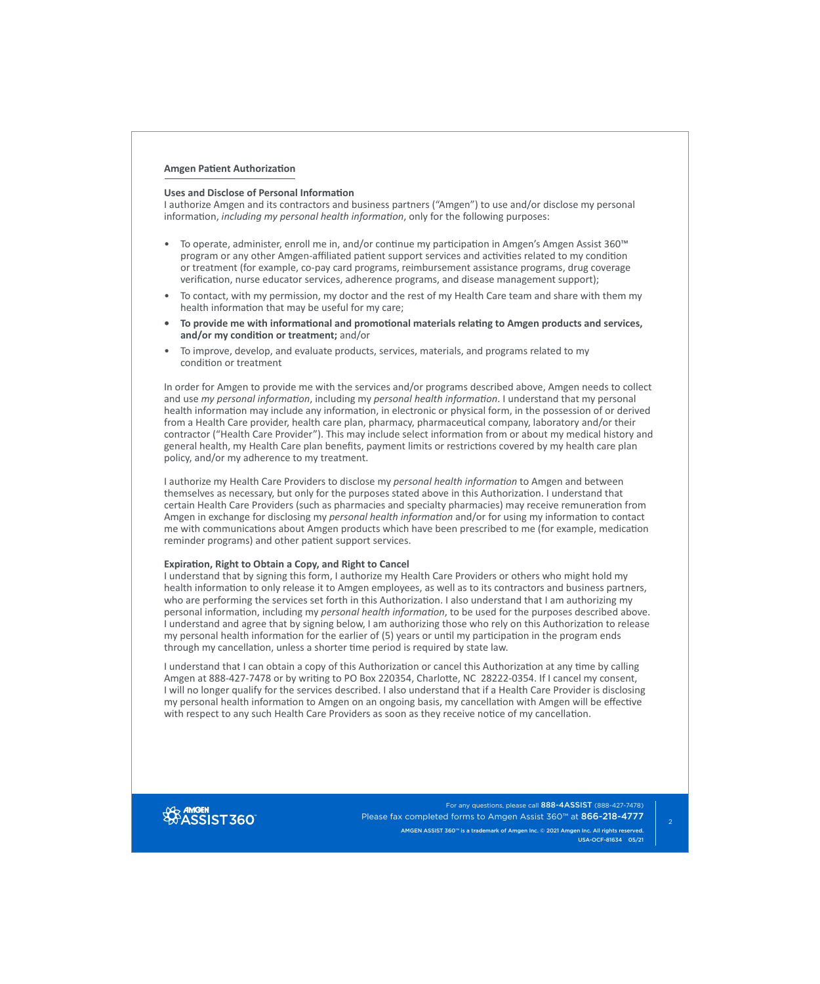## **Amgen Patient Authorization**

## **Uses and Disclose of Personal Information**

I authorize Amgen and its contractors and business partners ("Amgen") to use and/or disclose my personal information, *including my personal health information*, only for the following purposes:

- To operate, administer, enroll me in, and/or continue my participation in Amgen's Amgen Assist 360™ program or any other Amgen-affiliated patient support services and activities related to my condition or treatment (for example, co-pay card programs, reimbursement assistance programs, drug coverage verification, nurse educator services, adherence programs, and disease management support);
- To contact, with my permission, my doctor and the rest of my Health Care team and share with them my health information that may be useful for my care;
- **• To provide me with informational and promotional materials relating to Amgen products and services, and/or my condition or treatment;** and/or
- To improve, develop, and evaluate products, services, materials, and programs related to my condition or treatment

In order for Amgen to provide me with the services and/or programs described above, Amgen needs to collect and use *my personal information*, including my *personal health information*. I understand that my personal health information may include any information, in electronic or physical form, in the possession of or derived from a Health Care provider, health care plan, pharmacy, pharmaceutical company, laboratory and/or their contractor ("Health Care Provider"). This may include select information from or about my medical history and general health, my Health Care plan benefits, payment limits or restrictions covered by my health care plan policy, and/or my adherence to my treatment.

I authorize my Health Care Providers to disclose my *personal health information* to Amgen and between themselves as necessary, but only for the purposes stated above in this Authorization. I understand that certain Health Care Providers (such as pharmacies and specialty pharmacies) may receive remuneration from Amgen in exchange for disclosing my *personal health information* and/or for using my information to contact me with communications about Amgen products which have been prescribed to me (for example, medication reminder programs) and other patient support services.

## **Expiration, Right to Obtain a Copy, and Right to Cancel**

I understand that by signing this form, I authorize my Health Care Providers or others who might hold my health information to only release it to Amgen employees, as well as to its contractors and business partners, who are performing the services set forth in this Authorization. I also understand that I am authorizing my personal information, including my *personal health information*, to be used for the purposes described above. I understand and agree that by signing below, I am authorizing those who rely on this Authorization to release my personal health information for the earlier of (5) years or until my participation in the program ends through my cancellation, unless a shorter time period is required by state law.

I understand that I can obtain a copy of this Authorization or cancel this Authorization at any time by calling Amgen at 888-427-7478 or by writing to PO Box 220354, Charlotte, NC 28222-0354. If I cancel my consent, I will no longer qualify for the services described. I also understand that if a Health Care Provider is disclosing my personal health information to Amgen on an ongoing basis, my cancellation with Amgen will be effective with respect to any such Health Care Providers as soon as they receive notice of my cancellation.



For any questions, please call 888-4ASSIST (888-427-7478) Please fax completed forms to Amgen Assist 360™ at 866-218-4777

AMGEN ASSIST 360™ is a trademark of Amgen Inc. © 2021 Amgen Inc. All rights reserved. USA-OCF-81634 05/21